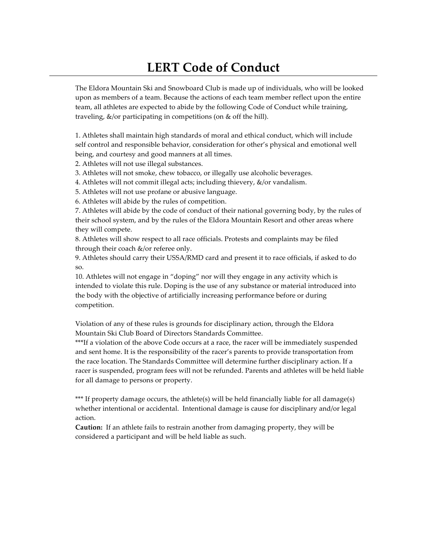## **LERT Code of Conduct**

The Eldora Mountain Ski and Snowboard Club is made up of individuals, who will be looked upon as members of a team. Because the actions of each team member reflect upon the entire team, all athletes are expected to abide by the following Code of Conduct while training, traveling, &/or participating in competitions (on & off the hill).

1. Athletes shall maintain high standards of moral and ethical conduct, which will include self control and responsible behavior, consideration for other's physical and emotional well being, and courtesy and good manners at all times.

2. Athletes will not use illegal substances.

3. Athletes will not smoke, chew tobacco, or illegally use alcoholic beverages.

4. Athletes will not commit illegal acts; including thievery, &/or vandalism.

5. Athletes will not use profane or abusive language.

6. Athletes will abide by the rules of competition.

7. Athletes will abide by the code of conduct of their national governing body, by the rules of their school system, and by the rules of the Eldora Mountain Resort and other areas where they will compete.

8. Athletes will show respect to all race officials. Protests and complaints may be filed through their coach &/or referee only.

9. Athletes should carry their USSA/RMD card and present it to race officials, if asked to do so.

10. Athletes will not engage in "doping" nor will they engage in any activity which is intended to violate this rule. Doping is the use of any substance or material introduced into the body with the objective of artificially increasing performance before or during competition.

Violation of any of these rules is grounds for disciplinary action, through the Eldora Mountain Ski Club Board of Directors Standards Committee.

\*\*\*If a violation of the above Code occurs at a race, the racer will be immediately suspended and sent home. It is the responsibility of the racer's parents to provide transportation from the race location. The Standards Committee will determine further disciplinary action. If a racer is suspended, program fees will not be refunded. Parents and athletes will be held liable for all damage to persons or property.

\*\*\* If property damage occurs, the athlete(s) will be held financially liable for all damage(s) whether intentional or accidental. Intentional damage is cause for disciplinary and/or legal action.

**Caution:** If an athlete fails to restrain another from damaging property, they will be considered a participant and will be held liable as such.